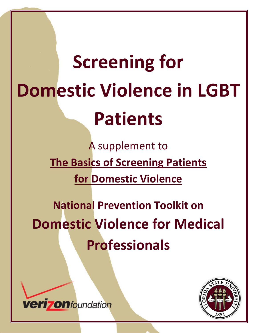# the contract of the con-**Screening for Domestic Violence in LGBT Patients**

*National Prevention Toolkit on Domestic Violence for Medical Professionals*

A supplement to **The Basics of Screening Patients for Domestic Violence**

**National Prevention Toolkit on Domestic Violence for Medical Professionals**



**verizonfoundation**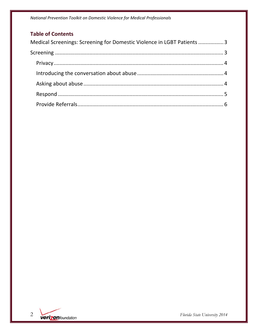*National Prevention Toolkit on Domestic Violence for Medical Professionals*

## **Table of Contents**

| Medical Screenings: Screening for Domestic Violence in LGBT Patients 3 |  |
|------------------------------------------------------------------------|--|
|                                                                        |  |
|                                                                        |  |
|                                                                        |  |
|                                                                        |  |
|                                                                        |  |
|                                                                        |  |
|                                                                        |  |

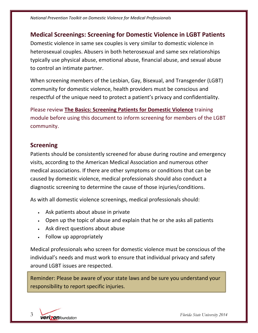## **Medical Screenings: Screening for Domestic Violence in LGBT Patients**

Domestic violence in same sex couples is very similar to domestic violence in heterosexual couples. Abusers in both heterosexual and same sex relationships typically use physical abuse, emotional abuse, financial abuse, and sexual abuse to control an intimate partner.

When screening members of the Lesbian, Gay, Bisexual, and Transgender (LGBT) community for domestic violence, health providers must be conscious and respectful of the unique need to protect a patient's privacy and confidentiality.

Please review **The Basics: Screening Patients for Domestic Violence** training module before using this document to inform screening for members of the LGBT community.

## **Screening**

Patients should be consistently screened for abuse during routine and emergency visits, according to the American Medical Association and numerous other medical associations. If there are other symptoms or conditions that can be caused by domestic violence, medical professionals should also conduct a diagnostic screening to determine the cause of those injuries/conditions.

As with all domestic violence screenings, medical professionals should:

- Ask patients about abuse in private
- Open up the topic of abuse and explain that he or she asks all patients
- Ask direct questions about abuse
- Follow up appropriately

Medical professionals who screen for domestic violence must be conscious of the individual's needs and must work to ensure that individual privacy and safety around LGBT issues are respected.

Reminder: Please be aware of your state laws and be sure you understand your responsibility to report specific injuries.

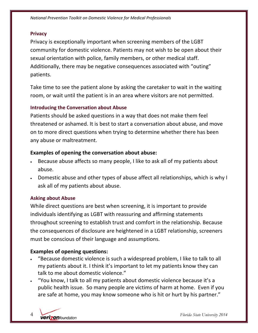*National Prevention Toolkit on Domestic Violence for Medical Professionals*

#### **Privacy**

Privacy is exceptionally important when screening members of the LGBT community for domestic violence. Patients may not wish to be open about their sexual orientation with police, family members, or other medical staff. Additionally, there may be negative consequences associated with "outing" patients.

Take time to see the patient alone by asking the caretaker to wait in the waiting room, or wait until the patient is in an area where visitors are not permitted.

#### **Introducing the Conversation about Abuse**

Patients should be asked questions in a way that does not make them feel threatened or ashamed. It is best to start a conversation about abuse, and move on to more direct questions when trying to determine whether there has been any abuse or maltreatment.

#### **Examples of opening the conversation about abuse:**

- Because abuse affects so many people, I like to ask all of my patients about abuse.
- Domestic abuse and other types of abuse affect all relationships, which is why I ask all of my patients about abuse.

#### **Asking about Abuse**

While direct questions are best when screening, it is important to provide individuals identifying as LGBT with reassuring and affirming statements throughout screening to establish trust and comfort in the relationship. Because the consequences of disclosure are heightened in a LGBT relationship, screeners must be conscious of their language and assumptions.

#### **Examples of opening questions:**

- "Because domestic violence is such a widespread problem, I like to talk to all my patients about it. I think it's important to let my patients know they can talk to me about domestic violence."
- "You know, I talk to all my patients about domestic violence because it's a public health issue. So many people are victims of harm at home. Even if you are safe at home, you may know someone who is hit or hurt by his partner."

4 *Florida State University 2014*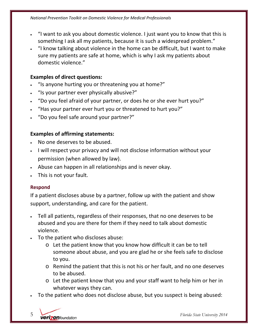- "I want to ask you about domestic violence. I just want you to know that this is something I ask all my patients, because it is such a widespread problem."
- "I know talking about violence in the home can be difficult, but I want to make sure my patients are safe at home, which is why I ask my patients about domestic violence."

#### **Examples of direct questions:**

- "Is anyone hurting you or threatening you at home?"
- "Is your partner ever physically abusive?"
- "Do you feel afraid of your partner, or does he or she ever hurt you?"
- "Has your partner ever hurt you or threatened to hurt you?"
- "Do you feel safe around your partner?"

### **Examples of affirming statements:**

- No one deserves to be abused.
- I will respect your privacy and will not disclose information without your permission (when allowed by law).
- Abuse can happen in all relationships and is never okay.
- This is not your fault.

#### **Respond**

If a patient discloses abuse by a partner, follow up with the patient and show support, understanding, and care for the patient.

- Tell all patients, regardless of their responses, that no one deserves to be abused and you are there for them if they need to talk about domestic violence.
- To the patient who discloses abuse:
	- o Let the patient know that you know how difficult it can be to tell someone about abuse, and you are glad he or she feels safe to disclose to you.
	- o Remind the patient that this is not his or her fault, and no one deserves to be abused.
	- o Let the patient know that you and your staff want to help him or her in whatever ways they can.
- To the patient who does not disclose abuse, but you suspect is being abused:

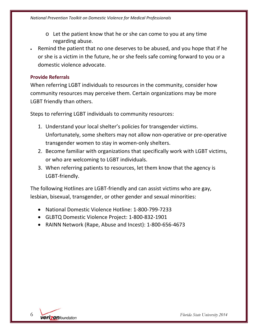- o Let the patient know that he or she can come to you at any time regarding abuse.
- Remind the patient that no one deserves to be abused, and you hope that if he or she is a victim in the future, he or she feels safe coming forward to you or a domestic violence advocate.

#### **Provide Referrals**

When referring LGBT individuals to resources in the community, consider how community resources may perceive them. Certain organizations may be more LGBT friendly than others.

Steps to referring LGBT individuals to community resources:

- 1. Understand your local shelter's policies for transgender victims. Unfortunately, some shelters may not allow non‐operative or pre‐operative transgender women to stay in women‐only shelters.
- 2. Become familiar with organizations that specifically work with LGBT victims, or who are welcoming to LGBT individuals.
- 3. When referring patients to resources, let them know that the agency is LGBT‐friendly.

The following Hotlines are LGBT‐friendly and can assist victims who are gay, lesbian, bisexual, transgender, or other gender and sexual minorities:

- National Domestic Violence Hotline: 1‐800‐799‐7233
- GLBTQ Domestic Violence Project: 1‐800‐832‐1901
- RAINN Network (Rape, Abuse and Incest): 1‐800‐656‐4673

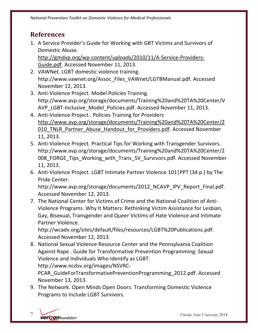## **References**

1. A Service Provider's Guide for Working with GBT Victims and Survivors of Domestic Abuse.

http://gmdvp.org/wp‐content/uploads/2010/11/A‐Service‐Providers‐ Guide.pdf. Accessed November 11, 2013.

- 2. VAWNet. LGBT domestic violence training. http://www.vawnet.org/Assoc\_Files\_VAWnet/LGTBManual.pdf. Accessed November 12, 2013.
- 3. Anti‐Violence Project. Model Policies Training. http://www.avp.org/storage/documents/Training%20and%20TA%20Center/V AVP\_LGBT‐Inclusive\_Model\_Policies.pdf. Accessed November 11, 2013.
- 4. Anti‐Violence Project.. Policies Training for Providers http://www.avp.org/storage/documents/Training%20and%20TA%20Center/2 010 TNLR Partner Abuse Handout for Providers.pdf. Accessed November 11, 2013.
- 5. Anti-Violence Project. Practical Tips for Working with Transgender Survivors. http://www.avp.org/storage/documents/Training%20and%20TA%20Center/2 008 FORGE Tips Working with Trans SV Survivors.pdf. Accessed November 11, 2013.
- 6. Anti‐Violence Project. LGBT Intimate Partner Violence 101|PPT (34 p.) by The Pride Center.

http://www.avp.org/storage/documents/2012 NCAVP IPV Report Final.pdf. Accessed November 12, 2013.

7. The National Center for Victims of Crime and the National Coalition of Anti‐ Violence Programs .Why It Matters: Rethinking Victim Assistance for Lesbian, Gay, Bisexual, Transgender and Queer Victims of Hate Violence and Intimate Partner Violence.

http://wcadv.org/sites/default/files/resources/LGBT%20Publications.pdf. Accessed November 12, 2013.

8. National Sexual Violence Resource Center and the Pennsylvania Coalition Against Rape . Guide for Transformative Prevention Programming: Sexual Violence and Individuals Who Identify as LGBT.

http://www.ncdsv.org/images/NSVRC‐

PCAR\_GuideForTransformativePreventionProgramming\_2012.pdf. Accessed November 13, 2013.

9. The Network. Open Minds Open Doors: Transforming Domestic Violence Programs to Include LGBT Survivors.

7 *Florida State University 2014*